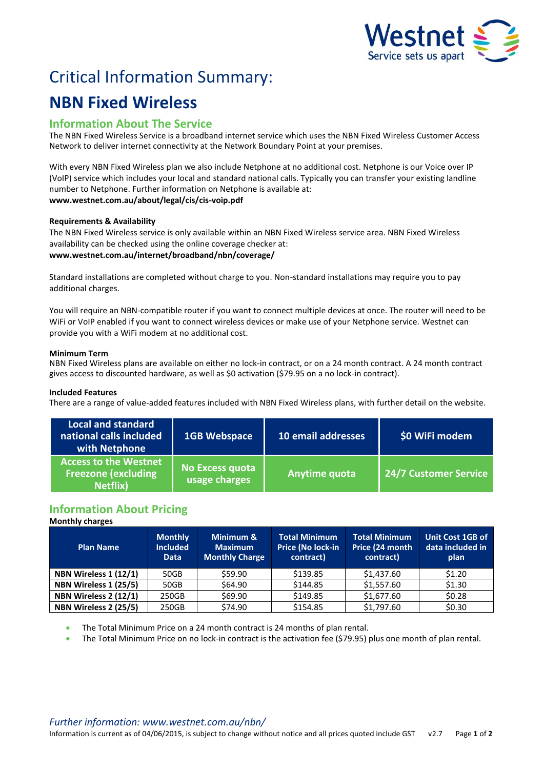

# Critical Information Summary:

# **NBN Fixed Wireless**

# **Information About The Service**

The NBN Fixed Wireless Service is a broadband internet service which uses the NBN Fixed Wireless Customer Access Network to deliver internet connectivity at the Network Boundary Point at your premises.

With every NBN Fixed Wireless plan we also include Netphone at no additional cost. Netphone is our Voice over IP (VoIP) service which includes your local and standard national calls. Typically you can transfer your existing landline number to Netphone. Further information on Netphone is available at: **www.westnet.com.au/about/legal/cis/cis-voip.pdf**

## **Requirements & Availability**

The NBN Fixed Wireless service is only available within an NBN Fixed Wireless service area. NBN Fixed Wireless availability can be checked using the online coverage checker at: **www.westnet.com.au/internet/broadband/nbn/coverage/**

Standard installations are completed without charge to you. Non-standard installations may require you to pay additional charges.

You will require an NBN-compatible router if you want to connect multiple devices at once. The router will need to be WiFi or VoIP enabled if you want to connect wireless devices or make use of your Netphone service. Westnet can provide you with a WiFi modem at no additional cost.

## **Minimum Term**

NBN Fixed Wireless plans are available on either no lock-in contract, or on a 24 month contract. A 24 month contract gives access to discounted hardware, as well as \$0 activation (\$79.95 on a no lock-in contract).

## **Included Features**

There are a range of value-added features included with NBN Fixed Wireless plans, with further detail on the website.

| <b>Local and standard</b><br>national calls included<br>with Netphone          | <b>1GB Webspace</b>              | 10 email addresses | \$0 WiFi modem        |
|--------------------------------------------------------------------------------|----------------------------------|--------------------|-----------------------|
| <b>Access to the Westnet</b><br><b>Freezone (excluding</b><br><b>Netflix</b> ) | No Excess quota<br>usage charges | Anytime quota      | 24/7 Customer Service |

# **Information About Pricing**

## **Monthly charges**

| <b>Plan Name</b>      | <b>Monthly</b><br><b>Included</b><br><b>Data</b> | Minimum &<br><b>Maximum</b><br><b>Monthly Charge</b> | <b>Total Minimum</b><br>Price (No lock-in<br>contract) | <b>Total Minimum</b><br>Price (24 month<br>contract) | <b>Unit Cost 1GB of</b><br>data included in<br>plan |
|-----------------------|--------------------------------------------------|------------------------------------------------------|--------------------------------------------------------|------------------------------------------------------|-----------------------------------------------------|
| NBN Wireless 1 (12/1) | 50GB                                             | \$59.90                                              | \$139.85                                               | \$1,437.60                                           | \$1.20                                              |
| NBN Wireless 1 (25/5) | 50GB                                             | \$64.90                                              | \$144.85                                               | \$1,557.60                                           | \$1.30                                              |
| NBN Wireless 2 (12/1) | 250GB                                            | \$69.90                                              | \$149.85                                               | \$1,677.60                                           | \$0.28                                              |
| NBN Wireless 2 (25/5) | 250GB                                            | \$74.90                                              | \$154.85                                               | \$1,797.60                                           | \$0.30                                              |

The Total Minimum Price on a 24 month contract is 24 months of plan rental.

The Total Minimum Price on no lock-in contract is the activation fee (\$79.95) plus one month of plan rental.